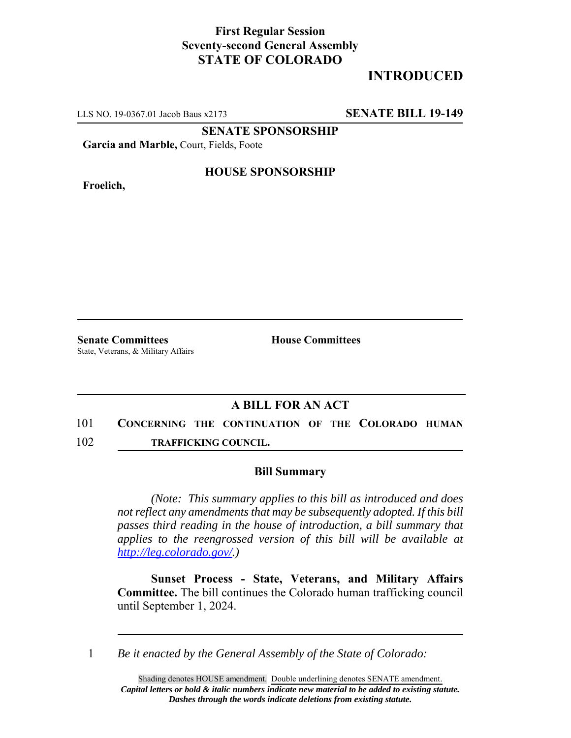## **First Regular Session Seventy-second General Assembly STATE OF COLORADO**

# **INTRODUCED**

LLS NO. 19-0367.01 Jacob Baus x2173 **SENATE BILL 19-149**

**SENATE SPONSORSHIP**

**Garcia and Marble,** Court, Fields, Foote

**Froelich,**

#### **HOUSE SPONSORSHIP**

**Senate Committees House Committees** State, Veterans, & Military Affairs

### **A BILL FOR AN ACT**

- 101 **CONCERNING THE CONTINUATION OF THE COLORADO HUMAN**
- 102 **TRAFFICKING COUNCIL.**

#### **Bill Summary**

*(Note: This summary applies to this bill as introduced and does not reflect any amendments that may be subsequently adopted. If this bill passes third reading in the house of introduction, a bill summary that applies to the reengrossed version of this bill will be available at http://leg.colorado.gov/.)*

**Sunset Process - State, Veterans, and Military Affairs Committee.** The bill continues the Colorado human trafficking council until September 1, 2024.

1 *Be it enacted by the General Assembly of the State of Colorado:*